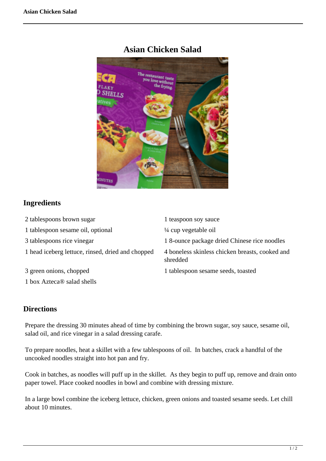

## **Asian Chicken Salad**

## **Ingredients**

| 2 tablespoons brown sugar                         | 1 teaspoon soy sauce                                        |
|---------------------------------------------------|-------------------------------------------------------------|
| 1 tablespoon sesame oil, optional                 | $\frac{1}{4}$ cup vegetable oil                             |
| 3 tablespoons rice vinegar                        | 18-ounce package dried Chinese rice noodles                 |
| 1 head iceberg lettuce, rinsed, dried and chopped | 4 boneless skinless chicken breasts, cooked and<br>shredded |
| 3 green onions, chopped                           | 1 tablespoon sesame seeds, toasted                          |
| 1 box Azteca <sup>®</sup> salad shells            |                                                             |

## **Directions**

Prepare the dressing 30 minutes ahead of time by combining the brown sugar, soy sauce, sesame oil, salad oil, and rice vinegar in a salad dressing carafe.

To prepare noodles, heat a skillet with a few tablespoons of oil. In batches, crack a handful of the uncooked noodles straight into hot pan and fry.

Cook in batches, as noodles will puff up in the skillet. As they begin to puff up, remove and drain onto paper towel. Place cooked noodles in bowl and combine with dressing mixture.

In a large bowl combine the iceberg lettuce, chicken, green onions and toasted sesame seeds. Let chill about 10 minutes.